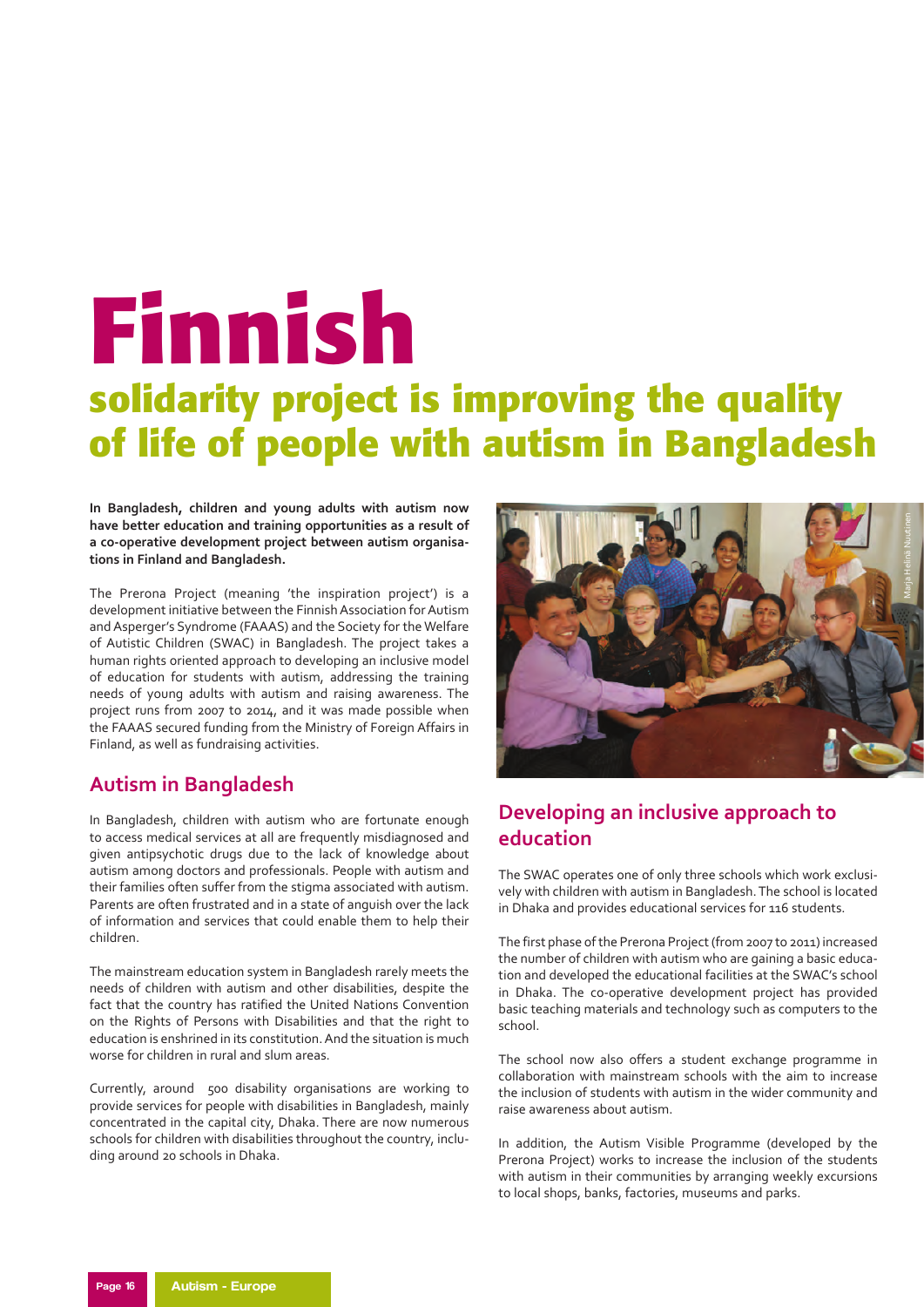# **Finnish solidarity project is improving the quality of life of people with autism in Bangladesh**

**In Bangladesh, children and young adults with autism now have better education and training opportunities as a result of a co-operative development project between autism organisations in Finland and Bangladesh.**

The Prerona Project (meaning 'the inspiration project') is a development initiative between the Finnish Association for Autism and Asperger's Syndrome (FAAAS) and the Society for the Welfare of Autistic Children (SWAC) in Bangladesh. The project takes a human rights oriented approach to developing an inclusive model of education for students with autism, addressing the training needs of young adults with autism and raising awareness. The project runs from 2007 to 2014, and it was made possible when the FAAAS secured funding from the Ministry of Foreign Affairs in Finland, as well as fundraising activities.

### **Autism in Bangladesh**

In Bangladesh, children with autism who are fortunate enough to access medical services at all are frequently misdiagnosed and given antipsychotic drugs due to the lack of knowledge about autism among doctors and professionals. People with autism and their families often suffer from the stigma associated with autism. Parents are often frustrated and in a state of anguish over the lack of information and services that could enable them to help their children.

The mainstream education system in Bangladesh rarely meets the needs of children with autism and other disabilities, despite the fact that the country has ratified the United Nations Convention on the Rights of Persons with Disabilities and that the right to education is enshrined in its constitution. And the situation is much worse for children in rural and slum areas.

Currently, around 500 disability organisations are working to provide services for people with disabilities in Bangladesh, mainly concentrated in the capital city, Dhaka. There are now numerous schools for children with disabilities throughout the country, including around 20 schools in Dhaka.



## **Developing an inclusive approach to education**

The SWAC operates one of only three schools which work exclusively with children with autism in Bangladesh. The school is located in Dhaka and provides educational services for 116 students.

The first phase of the Prerona Project (from 2007 to 2011) increased the number of children with autism who are gaining a basic education and developed the educational facilities at the SWAC's school in Dhaka. The co-operative development project has provided basic teaching materials and technology such as computers to the school.

The school now also offers a student exchange programme in collaboration with mainstream schools with the aim to increase the inclusion of students with autism in the wider community and raise awareness about autism.

In addition, the Autism Visible Programme (developed by the Prerona Project) works to increase the inclusion of the students with autism in their communities by arranging weekly excursions to local shops, banks, factories, museums and parks.